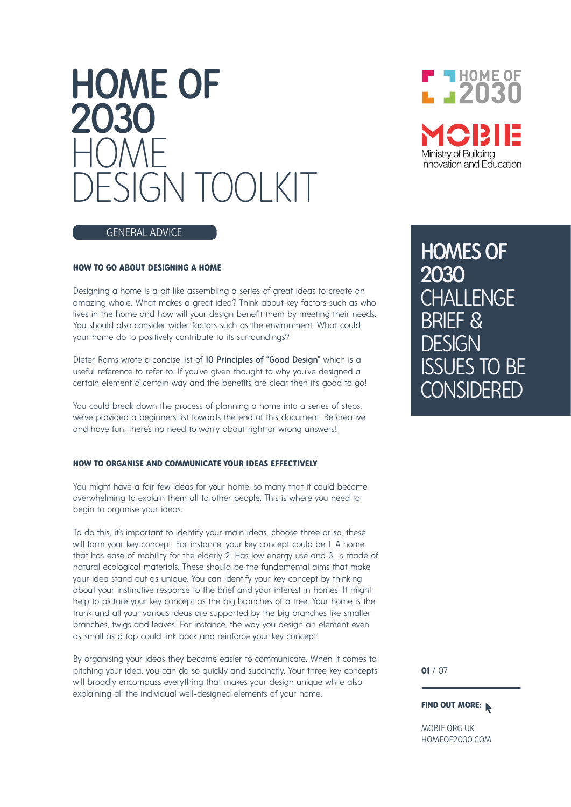# HOME OF 2030 HOME ESIGN TOOLKIT



#### GENERAL ADVICE

#### **HOW TO GO ABOUT DESIGNING A HOME**

Designing a home is a bit like assembling a series of great ideas to create an amazing whole. What makes a great idea? Think about key factors such as who lives in the home and how will your design benefit them by meeting their needs. You should also consider wider factors such as the environment. What could your home do to positively contribute to its surroundings?

Dieter Rams wrote a concise list of 10 Principles of "Good Design" which is a useful reference to refer to. If you've given thought to why you've designed a certain element a certain way and the benefits are clear then it's good to go!

You could break down the process of planning a home into a series of steps, we've provided a beginners list towards the end of this document. Be creative and have fun, there's no need to worry about right or wrong answers!

#### **HOW TO ORGANISE AND COMMUNICATE YOUR IDEAS EFFECTIVELY**

You might have a fair few ideas for your home, so many that it could become overwhelming to explain them all to other people. This is where you need to begin to organise your ideas.

To do this, it's important to identify your main ideas, choose three or so, these will form your key concept. For instance, your key concept could be 1. A home that has ease of mobility for the elderly 2. Has low energy use and 3. Is made of natural ecological materials. These should be the fundamental aims that make your idea stand out as unique. You can identify your key concept by thinking about your instinctive response to the brief and your interest in homes. It might help to picture your key concept as the big branches of a tree. Your home is the trunk and all your various ideas are supported by the big branches like smaller branches, twigs and leaves. For instance, the way you design an element even as small as a tap could link back and reinforce your key concept.

By organising your ideas they become easier to communicate. When it comes to pitching your idea, you can do so quickly and succinctly. Your three key concepts will broadly encompass everything that makes your design unique while also explaining all the individual well-designed elements of your home.

HOMES OF 2030 **CHALLENGE** BRIEF & DESIGN ISSUES TO BE **CONSIDERED** 

**01** / 07

#### **FIND OUT MORE:**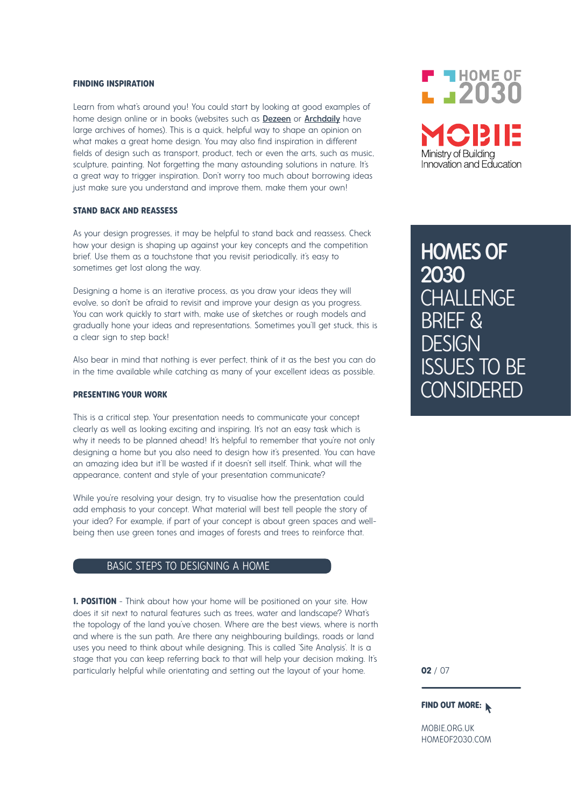#### **FINDING INSPIRATION**

Learn from what's around you! You could start by looking at good examples of home design online or in books (websites such as Dezeen or Archdaily have large archives of homes). This is a quick, helpful way to shape an opinion on what makes a great home design. You may also find inspiration in different fields of design such as transport, product, tech or even the arts, such as music, sculpture, painting. Not forgetting the many astounding solutions in nature. It's a great way to trigger inspiration. Don't worry too much about borrowing ideas just make sure you understand and improve them, make them your own!

#### **STAND BACK AND REASSESS**

As your design progresses, it may be helpful to stand back and reassess. Check how your design is shaping up against your key concepts and the competition brief. Use them as a touchstone that you revisit periodically, it's easy to sometimes get lost along the way.

Designing a home is an iterative process, as you draw your ideas they will evolve, so don't be afraid to revisit and improve your design as you progress. You can work quickly to start with, make use of sketches or rough models and gradually hone your ideas and representations. Sometimes you'll get stuck, this is a clear sign to step back!

Also bear in mind that nothing is ever perfect, think of it as the best you can do in the time available while catching as many of your excellent ideas as possible.

#### **PRESENTING YOUR WORK**

This is a critical step. Your presentation needs to communicate your concept clearly as well as looking exciting and inspiring. It's not an easy task which is why it needs to be planned ahead! It's helpful to remember that you're not only designing a home but you also need to design how it's presented. You can have an amazing idea but it'll be wasted if it doesn't sell itself. Think, what will the appearance, content and style of your presentation communicate?

While you're resolving your design, try to visualise how the presentation could add emphasis to your concept. What material will best tell people the story of your idea? For example, if part of your concept is about green spaces and wellbeing then use green tones and images of forests and trees to reinforce that.

# BASIC STEPS TO DESIGNING A HOME

**1. POSITION** - Think about how your home will be positioned on your site. How does it sit next to natural features such as trees, water and landscape? What's the topology of the land you've chosen. Where are the best views, where is north and where is the sun path. Are there any neighbouring buildings, roads or land uses you need to think about while designing. This is called 'Site Analysis'. It is a stage that you can keep referring back to that will help your decision making. It's particularly helpful while orientating and setting out the layout of your home.



HOMES OF 2030 **CHALLENGE** BRIEF & **DESIGN** ISSUES TO BE **CONSIDERED** 

**02** / 07

#### **FIND OUT MORE:**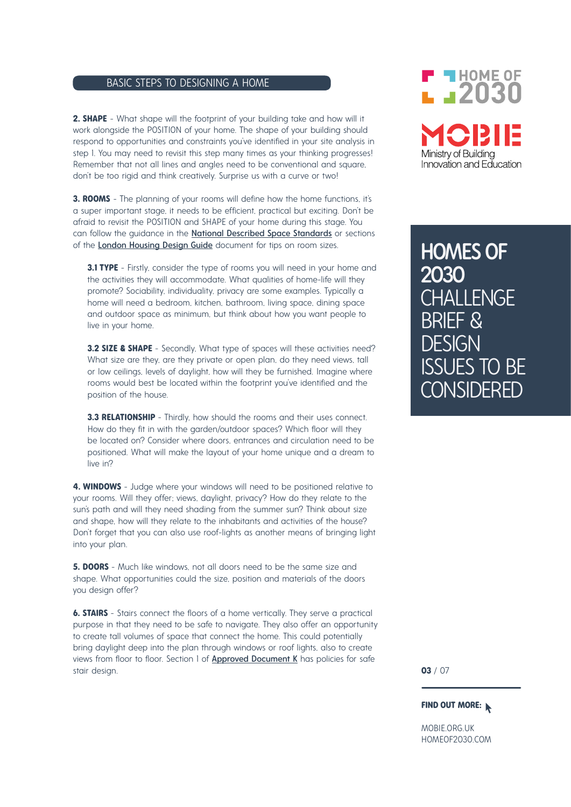# BASIC STEPS TO DESIGNING A HOME

**2. SHAPE** - What shape will the footprint of your building take and how will it work alongside the POSITION of your home. The shape of your building should respond to opportunities and constraints you've identified in your site analysis in step 1. You may need to revisit this step many times as your thinking progresses! Remember that not all lines and angles need to be conventional and square, don't be too rigid and think creatively. Surprise us with a curve or two!

**3. ROOMS** - The planning of your rooms will define how the home functions, it's a super important stage, it needs to be efficient, practical but exciting. Don't be afraid to revisit the POSITION and SHAPE of your home during this stage. You can follow the guidance in the **National Described Space Standards** or sections of the London Housing Design Guide document for tips on room sizes.

**3.1 TYPE** - Firstly, consider the type of rooms you will need in your home and the activities they will accommodate. What qualities of home-life will they promote? Sociability, individuality, privacy are some examples. Typically a home will need a bedroom, kitchen, bathroom, living space, dining space and outdoor space as minimum, but think about how you want people to live in your home.

**3.2 SIZE & SHAPE** - Secondly, What type of spaces will these activities need? What size are they, are they private or open plan, do they need views, tall or low ceilings, levels of daylight, how will they be furnished. Imagine where rooms would best be located within the footprint you've identified and the position of the house.

**3.3 RELATIONSHIP** - Thirdly, how should the rooms and their uses connect. How do they fit in with the garden/outdoor spaces? Which floor will they be located on? Consider where doors, entrances and circulation need to be positioned. What will make the layout of your home unique and a dream to live in?

**4. WINDOWS** - Judge where your windows will need to be positioned relative to your rooms. Will they offer; views, daylight, privacy? How do they relate to the sun's path and will they need shading from the summer sun? Think about size and shape, how will they relate to the inhabitants and activities of the house? Don't forget that you can also use roof-lights as another means of bringing light into your plan.

**5. DOORS** - Much like windows, not all doors need to be the same size and shape. What opportunities could the size, position and materials of the doors you design offer?

**6. STAIRS** - Stairs connect the floors of a home vertically. They serve a practical purpose in that they need to be safe to navigate. They also offer an opportunity to create tall volumes of space that connect the home. This could potentially bring daylight deep into the plan through windows or roof lights, also to create views from floor to floor. Section 1 of **Approved Document K** has policies for safe stair design.

# **F THOME OF**  $L = 2030$ Ministry of Buildina Innovation and Education

HOMES OF 2030 **CHALLENGE** BRIEF & **DESIGN** ISSUES TO BE **CONSIDERED** 

**03** / 07

## **FIND OUT MORE:**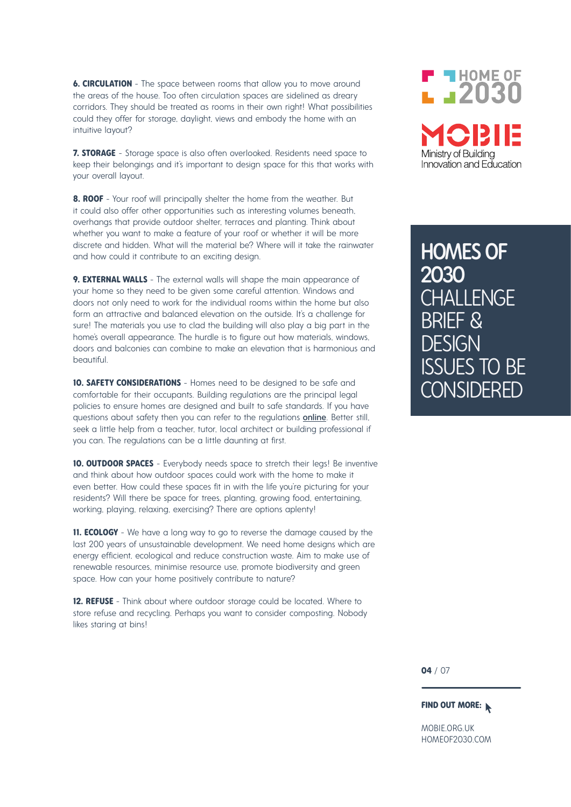**6. CIRCULATION** - The space between rooms that allow you to move around the areas of the house. Too often circulation spaces are sidelined as dreary corridors. They should be treated as rooms in their own right! What possibilities could they offer for storage, daylight, views and embody the home with an intuitive layout?

**7. STORAGE** - Storage space is also often overlooked. Residents need space to keep their belongings and it's important to design space for this that works with your overall layout.

**8. ROOF** - Your roof will principally shelter the home from the weather. But it could also offer other opportunities such as interesting volumes beneath, overhangs that provide outdoor shelter, terraces and planting. Think about whether you want to make a feature of your roof or whether it will be more discrete and hidden. What will the material be? Where will it take the rainwater and how could it contribute to an exciting design.

**9. EXTERNAL WALLS** - The external walls will shape the main appearance of your home so they need to be given some careful attention. Windows and doors not only need to work for the individual rooms within the home but also form an attractive and balanced elevation on the outside. It's a challenge for sure! The materials you use to clad the building will also play a big part in the home's overall appearance. The hurdle is to figure out how materials, windows, doors and balconies can combine to make an elevation that is harmonious and beautiful.

**10. SAFETY CONSIDERATIONS** - Homes need to be designed to be safe and comfortable for their occupants. Building regulations are the principal legal policies to ensure homes are designed and built to safe standards. If you have questions about safety then you can refer to the regulations online. Better still, seek a little help from a teacher, tutor, local architect or building professional if you can. The regulations can be a little daunting at first.

**10. OUTDOOR SPACES** - Everybody needs space to stretch their leas! Be inventive and think about how outdoor spaces could work with the home to make it even better. How could these spaces fit in with the life you're picturing for your residents? Will there be space for trees, planting, growing food, entertaining, working, playing, relaxing, exercising? There are options aplenty!

**11. ECOLOGY** - We have a long way to go to reverse the damage caused by the last 200 years of unsustainable development. We need home designs which are energy efficient, ecological and reduce construction waste. Aim to make use of renewable resources, minimise resource use, promote biodiversity and green space. How can your home positively contribute to nature?

**12. REFUSE** - Think about where outdoor storage could be located. Where to store refuse and recycling. Perhaps you want to consider composting. Nobody likes staring at bins!

# $\blacksquare$  HOME OF  $L = 2030$ Ministry of Buildina Innovation and Education

HOMES OF 2030 **CHALLENGE** BRIEF & **DESIGN** ISSUES TO BE **CONSIDERED** 

**04** / 07

#### **FIND OUT MORE:**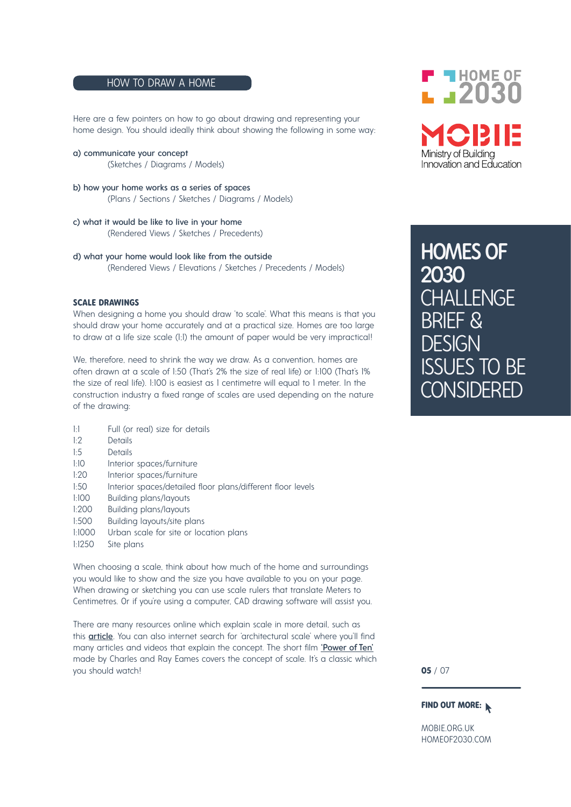# HOW TO DRAW A HOME

Here are a few pointers on how to go about drawing and representing your home design. You should ideally think about showing the following in some way:

- a) communicate your concept (Sketches / Diagrams / Models)
- b) how your home works as a series of spaces (Plans / Sections / Sketches / Diagrams / Models)
- c) what it would be like to live in your home (Rendered Views / Sketches / Precedents)
- d) what your home would look like from the outside (Rendered Views / Elevations / Sketches / Precedents / Models)

#### **SCALE DRAWINGS**

When designing a home you should draw 'to scale'. What this means is that you should draw your home accurately and at a practical size. Homes are too large to draw at a life size scale (1;1) the amount of paper would be very impractical!

We, therefore, need to shrink the way we draw. As a convention, homes are often drawn at a scale of 1:50 (That's 2% the size of real life) or 1:100 (That's 1% the size of real life). 1:100 is easiest as 1 centimetre will equal to 1 meter. In the construction industry a fixed range of scales are used depending on the nature of the drawing:

- 1:1 Full (or real) size for details
- 1:2 Details
- 1:5 Details
- 1:10 Interior spaces/furniture
- 1:20 Interior spaces/furniture
- 1:50 Interior spaces/detailed floor plans/different floor levels
- 1:100 Building plans/layouts
- 1:200 Building plans/layouts<br>1:500 Building Jayouts/site pl
- Building layouts/site plans
- 1:1000 Urban scale for site or location plans
- 1:1250 Site plans

When choosing a scale, think about how much of the home and surroundings you would like to show and the size you have available to you on your page. When drawing or sketching you can use scale rulers that translate Meters to Centimetres. Or if you're using a computer, CAD drawing software will assist you.

There are many resources online which explain scale in more detail, such as this article. You can also internet search for 'architectural scale' where you'll find many articles and videos that explain the concept. The short film 'Power of Ten' made by Charles and Ray Eames covers the concept of scale. It's a classic which you should watch!



HOMES OF 2030 **CHALLENGE** BRIEF & **DESIGN** ISSUES TO BE **CONSIDERED** 

**05** / 07

### **FIND OUT MORE:**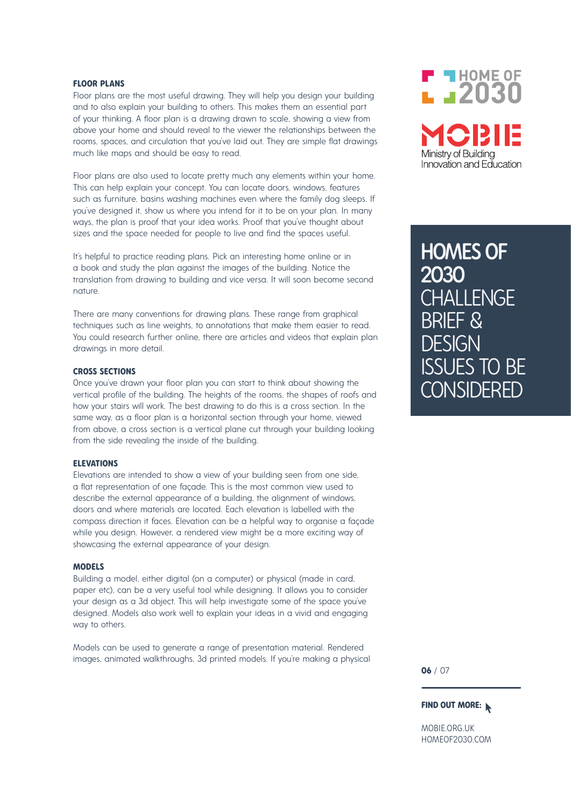#### **FLOOR PLANS**

Floor plans are the most useful drawing. They will help you design your building and to also explain your building to others. This makes them an essential part of your thinking. A floor plan is a drawing drawn to scale, showing a view from above your home and should reveal to the viewer the relationships between the rooms, spaces, and circulation that you've laid out. They are simple flat drawings much like maps and should be easy to read.

Floor plans are also used to locate pretty much any elements within your home. This can help explain your concept. You can locate doors, windows, features such as furniture, basins washing machines even where the family dog sleeps. If you've designed it, show us where you intend for it to be on your plan. In many ways, the plan is proof that your idea works. Proof that you've thought about sizes and the space needed for people to live and find the spaces useful.

It's helpful to practice reading plans. Pick an interesting home online or in a book and study the plan against the images of the building. Notice the translation from drawing to building and vice versa. It will soon become second nature.

There are many conventions for drawing plans. These range from graphical techniques such as line weights, to annotations that make them easier to read. You could research further online, there are articles and videos that explain plan drawings in more detail.

#### **CROSS SECTIONS**

Once you've drawn your floor plan you can start to think about showing the vertical profile of the building. The heights of the rooms, the shapes of roofs and how your stairs will work. The best drawing to do this is a cross section. In the same way, as a floor plan is a horizontal section through your home, viewed from above, a cross section is a vertical plane cut through your building looking from the side revealing the inside of the building.

#### **ELEVATIONS**

Elevations are intended to show a view of your building seen from one side, a flat representation of one façade. This is the most common view used to describe the external appearance of a building, the alignment of windows, doors and where materials are located. Each elevation is labelled with the compass direction it faces. Elevation can be a helpful way to organise a façade while you design. However, a rendered view might be a more exciting way of showcasing the external appearance of your design.

#### **MODELS**

Building a model, either digital (on a computer) or physical (made in card, paper etc), can be a very useful tool while designing. It allows you to consider your design as a 3d object. This will help investigate some of the space you've designed. Models also work well to explain your ideas in a vivid and engaging way to others.

Models can be used to generate a range of presentation material. Rendered images, animated walkthroughs, 3d printed models. If you're making a physical



HOMES OF 2030 **CHALLENGE** BRIEF & **DESIGN** ISSUES TO BE **CONSIDERED** 

**06** / 07

#### **FIND OUT MORE:**